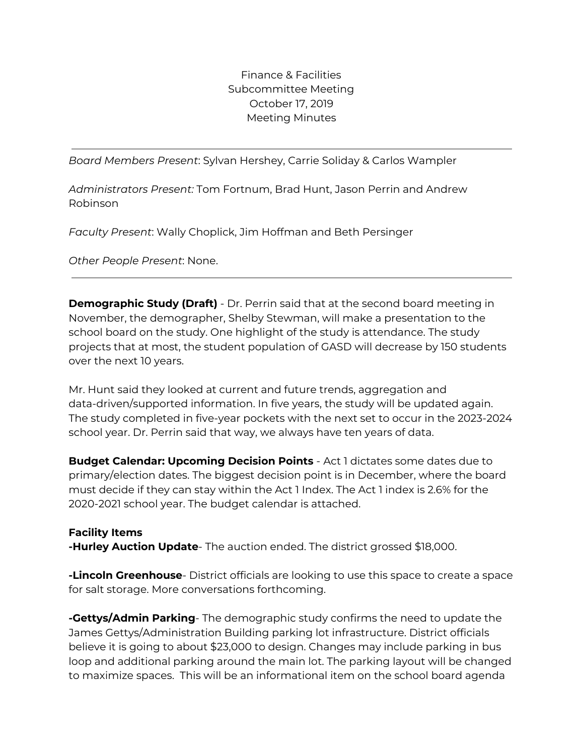Finance & Facilities Subcommittee Meeting October 17, 2019 Meeting Minutes

*Board Members Present*: Sylvan Hershey, Carrie Soliday & Carlos Wampler

*Administrators Present:* Tom Fortnum, Brad Hunt, Jason Perrin and Andrew Robinson

*Faculty Present*: Wally Choplick, Jim Hoffman and Beth Persinger

*Other People Present*: None.

**Demographic Study (Draft)** - Dr. Perrin said that at the second board meeting in November, the demographer, Shelby Stewman, will make a presentation to the school board on the study. One highlight of the study is attendance. The study projects that at most, the student population of GASD will decrease by 150 students over the next 10 years.

Mr. Hunt said they looked at current and future trends, aggregation and data-driven/supported information. In five years, the study will be updated again. The study completed in five-year pockets with the next set to occur in the 2023-2024 school year. Dr. Perrin said that way, we always have ten years of data.

**Budget Calendar: Upcoming Decision Points** - Act 1 dictates some dates due to primary/election dates. The biggest decision point is in December, where the board must decide if they can stay within the Act 1 Index. The Act 1 index is 2.6% for the 2020-2021 school year. The budget calendar is attached.

## **Facility Items**

**-Hurley Auction Update**- The auction ended. The district grossed \$18,000.

**-Lincoln Greenhouse**- District officials are looking to use this space to create a space for salt storage. More conversations forthcoming.

**-Gettys/Admin Parking**- The demographic study confirms the need to update the James Gettys/Administration Building parking lot infrastructure. District officials believe it is going to about \$23,000 to design. Changes may include parking in bus loop and additional parking around the main lot. The parking layout will be changed to maximize spaces. This will be an informational item on the school board agenda